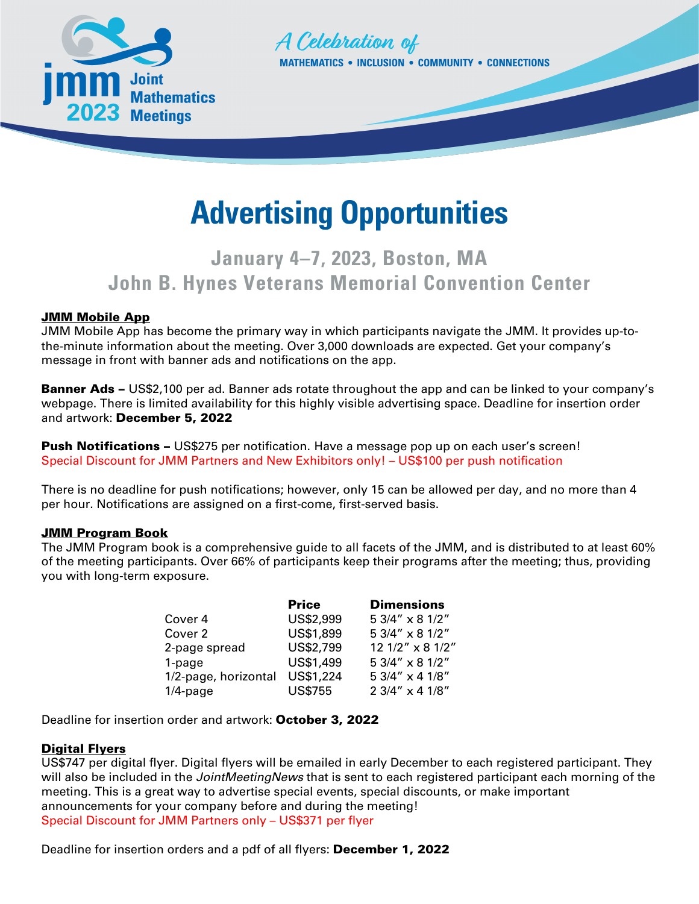



# **Advertising Opportunities**

# **January 4–7, 2023, Boston, MA John B. Hynes Veterans Memorial Convention Center**

#### **JMM Mobile App**

JMM Mobile App has become the primary way in which participants navigate the JMM. It provides up-tothe-minute information about the meeting. Over 3,000 downloads are expected. Get your company's message in front with banner ads and notifications on the app.

**Banner Ads –** US\$2,100 per ad. Banner ads rotate throughout the app and can be linked to your company's webpage. There is limited availability for this highly visible advertising space. Deadline for insertion order and artwork: December 5, 2022

**Push Notifications –** US\$275 per notification. Have a message pop up on each user's screen! Special Discount for JMM Partners and New Exhibitors only! – US\$100 per push notification

There is no deadline for push notifications; however, only 15 can be allowed per day, and no more than 4 per hour. Notifications are assigned on a first-come, first-served basis.

#### **JMM Program Book**

The JMM Program book is a comprehensive guide to all facets of the JMM, and is distributed to at least 60% of the meeting participants. Over 66% of participants keep their programs after the meeting; thus, providing you with long-term exposure.

|                      | <b>Price</b>   | <b>Dimensions</b> |
|----------------------|----------------|-------------------|
| Cover 4              | US\$2,999      | 5 3/4" x 8 1/2"   |
| Cover 2              | US\$1,899      | 5 3/4" x 8 1/2"   |
| 2-page spread        | US\$2,799      | 12 1/2" x 8 1/2"  |
| 1-page               | US\$1,499      | 5 3/4" x 8 1/2"   |
| 1/2-page, horizontal | US\$1,224      | 5 3/4" x 4 1/8"   |
| $1/4$ -page          | <b>US\$755</b> | 2 3/4" x 4 1/8"   |

Deadline for insertion order and artwork: October 3, 2022

#### **Digital Flyers**

US\$747 per digital flyer. Digital flyers will be emailed in early December to each registered participant. They will also be included in the *JointMeetingNews* that is sent to each registered participant each morning of the meeting. This is a great way to advertise special events, special discounts, or make important announcements for your company before and during the meeting! Special Discount for JMM Partners only – US\$371 per flyer

Deadline for insertion orders and a pdf of all flyers: December 1, 2022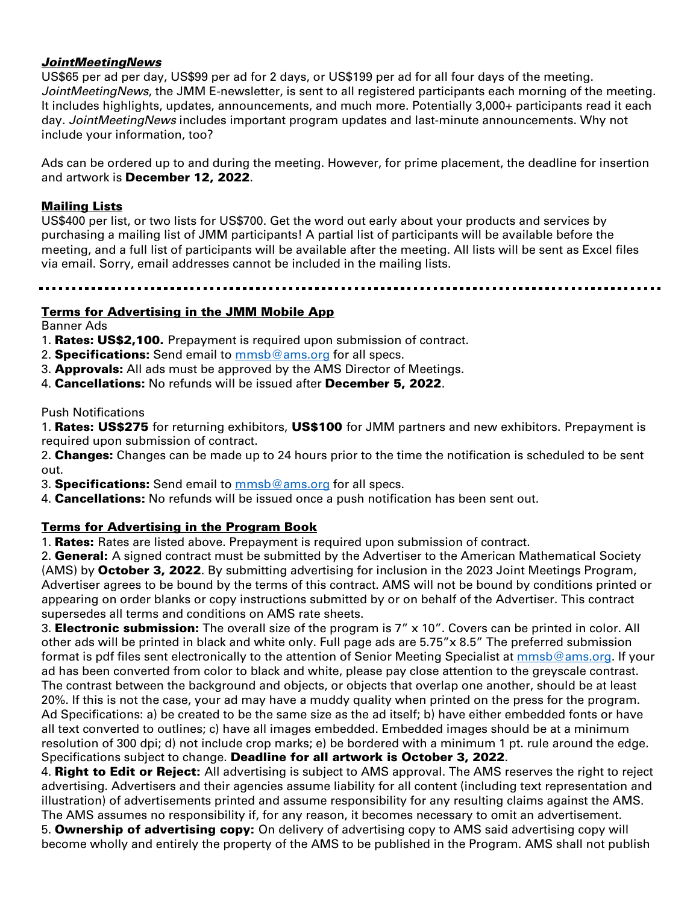#### *JointMeetingNews*

US\$65 per ad per day, US\$99 per ad for 2 days, or US\$199 per ad for all four days of the meeting. *JointMeetingNews*, the JMM E-newsletter, is sent to all registered participants each morning of the meeting. It includes highlights, updates, announcements, and much more. Potentially 3,000+ participants read it each day. *JointMeetingNews* includes important program updates and last-minute announcements. Why not include your information, too?

Ads can be ordered up to and during the meeting. However, for prime placement, the deadline for insertion and artwork is December 12, 2022.

#### Mailing Lists

US\$400 per list, or two lists for US\$700. Get the word out early about your products and services by purchasing a mailing list of JMM participants! A partial list of participants will be available before the meeting, and a full list of participants will be available after the meeting. All lists will be sent as Excel files via email. Sorry, email addresses cannot be included in the mailing lists.

#### Terms for Advertising in the JMM Mobile App

Banner Ads

- 1. **Rates: US\$2,100.** Prepayment is required upon submission of contract.
- 2. **Specifications:** Send email to  $mmsb@ams.org$  for all specs.
- 3. **Approvals:** All ads must be approved by the AMS Director of Meetings.
- 4. Cancellations: No refunds will be issued after December 5, 2022.

Push Notifications

1. Rates: US\$275 for returning exhibitors, US\$100 for JMM partners and new exhibitors. Prepayment is required upon submission of contract.

2. **Changes:** Changes can be made up to 24 hours prior to the time the notification is scheduled to be sent out.

3. Specifications: Send email to **mmsb@ams.org** for all specs.

4. **Cancellations:** No refunds will be issued once a push notification has been sent out.

#### Terms for Advertising in the Program Book

1. **Rates:** Rates are listed above. Prepayment is required upon submission of contract.

2. **General:** A signed contract must be submitted by the Advertiser to the American Mathematical Society (AMS) by October 3, 2022. By submitting advertising for inclusion in the 2023 Joint Meetings Program, Advertiser agrees to be bound by the terms of this contract. AMS will not be bound by conditions printed or appearing on order blanks or copy instructions submitted by or on behalf of the Advertiser. This contract supersedes all terms and conditions on AMS rate sheets.

3. Electronic submission: The overall size of the program is 7" x 10". Covers can be printed in color. All other ads will be printed in black and white only. Full page ads are 5.75"x 8.5" The preferred submission format is pdf files sent electronically to the attention of Senior Meeting Specialist at mmsb@ams.org. If your ad has been converted from color to black and white, please pay close attention to the greyscale contrast. The contrast between the background and objects, or objects that overlap one another, should be at least 20%. If this is not the case, your ad may have a muddy quality when printed on the press for the program. Ad Specifications: a) be created to be the same size as the ad itself; b) have either embedded fonts or have all text converted to outlines; c) have all images embedded. Embedded images should be at a minimum resolution of 300 dpi; d) not include crop marks; e) be bordered with a minimum 1 pt. rule around the edge. Specifications subject to change. Deadline for all artwork is October 3, 2022.

4. Right to Edit or Reject: All advertising is subject to AMS approval. The AMS reserves the right to reject advertising. Advertisers and their agencies assume liability for all content (including text representation and illustration) of advertisements printed and assume responsibility for any resulting claims against the AMS. The AMS assumes no responsibility if, for any reason, it becomes necessary to omit an advertisement.

5. **Ownership of advertising copy:** On delivery of advertising copy to AMS said advertising copy will become wholly and entirely the property of the AMS to be published in the Program. AMS shall not publish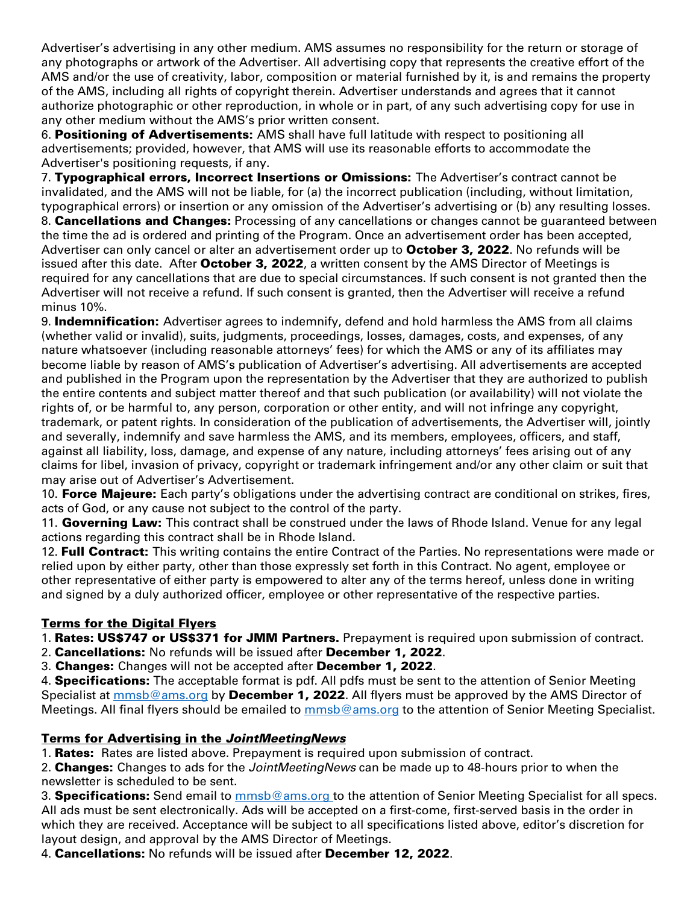Advertiser's advertising in any other medium. AMS assumes no responsibility for the return or storage of any photographs or artwork of the Advertiser. All advertising copy that represents the creative effort of the AMS and/or the use of creativity, labor, composition or material furnished by it, is and remains the property of the AMS, including all rights of copyright therein. Advertiser understands and agrees that it cannot authorize photographic or other reproduction, in whole or in part, of any such advertising copy for use in any other medium without the AMS's prior written consent.

6. Positioning of Advertisements: AMS shall have full latitude with respect to positioning all advertisements; provided, however, that AMS will use its reasonable efforts to accommodate the Advertiser's positioning requests, if any.

7. Typographical errors, Incorrect Insertions or Omissions: The Advertiser's contract cannot be invalidated, and the AMS will not be liable, for (a) the incorrect publication (including, without limitation, typographical errors) or insertion or any omission of the Advertiser's advertising or (b) any resulting losses. 8. **Cancellations and Changes:** Processing of any cancellations or changes cannot be guaranteed between the time the ad is ordered and printing of the Program. Once an advertisement order has been accepted, Advertiser can only cancel or alter an advertisement order up to October 3, 2022. No refunds will be issued after this date. After October 3, 2022, a written consent by the AMS Director of Meetings is required for any cancellations that are due to special circumstances. If such consent is not granted then the Advertiser will not receive a refund. If such consent is granted, then the Advertiser will receive a refund minus 10%.

9. **Indemnification:** Advertiser agrees to indemnify, defend and hold harmless the AMS from all claims (whether valid or invalid), suits, judgments, proceedings, losses, damages, costs, and expenses, of any nature whatsoever (including reasonable attorneys' fees) for which the AMS or any of its affiliates may become liable by reason of AMS's publication of Advertiser's advertising. All advertisements are accepted and published in the Program upon the representation by the Advertiser that they are authorized to publish the entire contents and subject matter thereof and that such publication (or availability) will not violate the rights of, or be harmful to, any person, corporation or other entity, and will not infringe any copyright, trademark, or patent rights. In consideration of the publication of advertisements, the Advertiser will, jointly and severally, indemnify and save harmless the AMS, and its members, employees, officers, and staff, against all liability, loss, damage, and expense of any nature, including attorneys' fees arising out of any claims for libel, invasion of privacy, copyright or trademark infringement and/or any other claim or suit that may arise out of Advertiser's Advertisement.

10. Force Majeure: Each party's obligations under the advertising contract are conditional on strikes, fires, acts of God, or any cause not subject to the control of the party.

11. Governing Law: This contract shall be construed under the laws of Rhode Island. Venue for any legal actions regarding this contract shall be in Rhode Island.

12. Full Contract: This writing contains the entire Contract of the Parties. No representations were made or relied upon by either party, other than those expressly set forth in this Contract. No agent, employee or other representative of either party is empowered to alter any of the terms hereof, unless done in writing and signed by a duly authorized officer, employee or other representative of the respective parties.

## Terms for the Digital Flyers

1. Rates: US\$747 or US\$371 for JMM Partners. Prepayment is required upon submission of contract.

2. Cancellations: No refunds will be issued after December 1, 2022.

3. Changes: Changes will not be accepted after December 1, 2022.

4. **Specifications:** The acceptable format is pdf. All pdfs must be sent to the attention of Senior Meeting Specialist at mmsb@ams.org by December 1, 2022. All flyers must be approved by the AMS Director of Meetings. All final flyers should be emailed to **mmsb@ams.org** to the attention of Senior Meeting Specialist.

## Terms for Advertising in the *JointMeetingNews*

1. Rates: Rates are listed above. Prepayment is required upon submission of contract.

2. Changes: Changes to ads for the *JointMeetingNews* can be made up to 48-hours prior to when the newsletter is scheduled to be sent.

3. Specifications: Send email to **mmsb@ams.org** to the attention of Senior Meeting Specialist for all specs. All ads must be sent electronically. Ads will be accepted on a first-come, first-served basis in the order in which they are received. Acceptance will be subject to all specifications listed above, editor's discretion for layout design, and approval by the AMS Director of Meetings.

4. Cancellations: No refunds will be issued after December 12, 2022.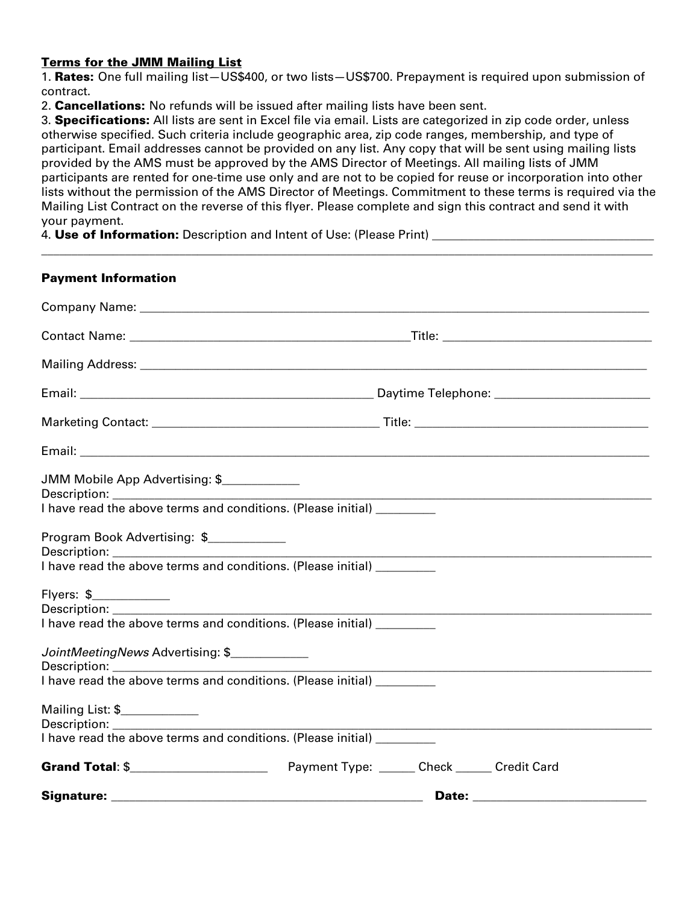#### Terms for the JMM Mailing List

1. Rates: One full mailing list-US\$400, or two lists-US\$700. Prepayment is required upon submission of contract.

2. **Cancellations:** No refunds will be issued after mailing lists have been sent.

3. Specifications: All lists are sent in Excel file via email. Lists are categorized in zip code order, unless otherwise specified. Such criteria include geographic area, zip code ranges, membership, and type of participant. Email addresses cannot be provided on any list. Any copy that will be sent using mailing lists provided by the AMS must be approved by the AMS Director of Meetings. All mailing lists of JMM participants are rented for one-time use only and are not to be copied for reuse or incorporation into other lists without the permission of the AMS Director of Meetings. Commitment to these terms is required via the Mailing List Contract on the reverse of this flyer. Please complete and sign this contract and send it with your payment.

 $\_$  , and the set of the set of the set of the set of the set of the set of the set of the set of the set of the set of the set of the set of the set of the set of the set of the set of the set of the set of the set of th

4. **Use of Information:** Description and Intent of Use: (Please Print)

| <b>Payment Information</b>                                                                       |  |  |
|--------------------------------------------------------------------------------------------------|--|--|
|                                                                                                  |  |  |
|                                                                                                  |  |  |
|                                                                                                  |  |  |
|                                                                                                  |  |  |
|                                                                                                  |  |  |
|                                                                                                  |  |  |
| JMM Mobile App Advertising: \$                                                                   |  |  |
| I have read the above terms and conditions. (Please initial) _________                           |  |  |
| Program Book Advertising: \$                                                                     |  |  |
| I have read the above terms and conditions. (Please initial) _________                           |  |  |
| Flyers: \$____________<br>I have read the above terms and conditions. (Please initial) _________ |  |  |
| JointMeetingNews Advertising: \$                                                                 |  |  |
|                                                                                                  |  |  |
| Mailing List: \$_____________                                                                    |  |  |
| I have read the above terms and conditions. (Please initial) _________                           |  |  |
|                                                                                                  |  |  |
|                                                                                                  |  |  |